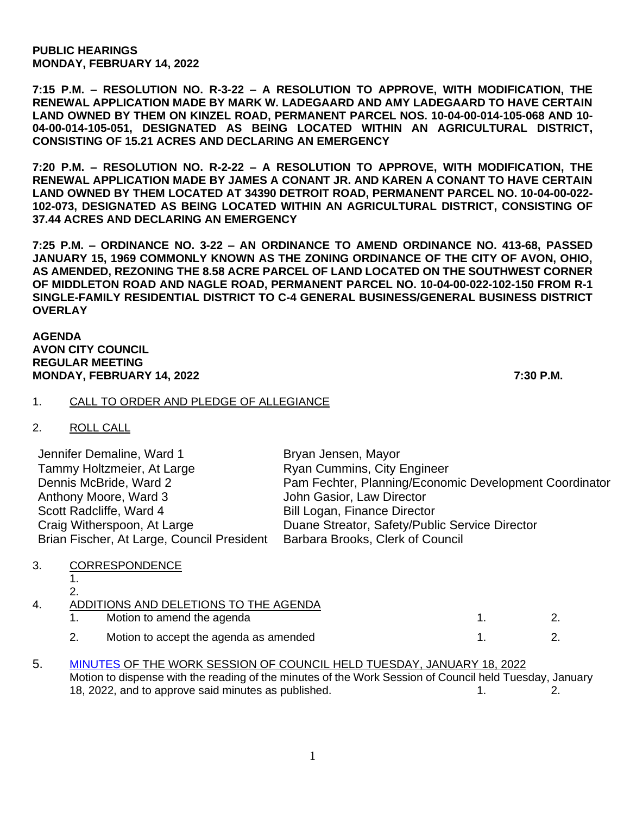**PUBLIC HEARINGS MONDAY, FEBRUARY 14, 2022**

**7:15 P.M. – RESOLUTION NO. R-3-22 – A RESOLUTION TO APPROVE, WITH MODIFICATION, THE RENEWAL APPLICATION MADE BY MARK W. LADEGAARD AND AMY LADEGAARD TO HAVE CERTAIN LAND OWNED BY THEM ON KINZEL ROAD, PERMANENT PARCEL NOS. 10-04-00-014-105-068 AND 10- 04-00-014-105-051, DESIGNATED AS BEING LOCATED WITHIN AN AGRICULTURAL DISTRICT, CONSISTING OF 15.21 ACRES AND DECLARING AN EMERGENCY**

**7:20 P.M. – RESOLUTION NO. R-2-22 – A RESOLUTION TO APPROVE, WITH MODIFICATION, THE RENEWAL APPLICATION MADE BY JAMES A CONANT JR. AND KAREN A CONANT TO HAVE CERTAIN LAND OWNED BY THEM LOCATED AT 34390 DETROIT ROAD, PERMANENT PARCEL NO. 10-04-00-022- 102-073, DESIGNATED AS BEING LOCATED WITHIN AN AGRICULTURAL DISTRICT, CONSISTING OF 37.44 ACRES AND DECLARING AN EMERGENCY**

**7:25 P.M. – ORDINANCE NO. 3-22 – AN ORDINANCE TO AMEND ORDINANCE NO. 413-68, PASSED JANUARY 15, 1969 COMMONLY KNOWN AS THE ZONING ORDINANCE OF THE CITY OF AVON, OHIO, AS AMENDED, REZONING THE 8.58 ACRE PARCEL OF LAND LOCATED ON THE SOUTHWEST CORNER OF MIDDLETON ROAD AND NAGLE ROAD, PERMANENT PARCEL NO. 10-04-00-022-102-150 FROM R-1 SINGLE-FAMILY RESIDENTIAL DISTRICT TO C-4 GENERAL BUSINESS/GENERAL BUSINESS DISTRICT OVERLAY**

#### **AGENDA AVON CITY COUNCIL REGULAR MEETING MONDAY, FEBRUARY 14, 2022 7:30 P.M.**

# 1. CALL TO ORDER AND PLEDGE OF ALLEGIANCE

| 2 | <b>ROLL CALL</b> |  |
|---|------------------|--|
|---|------------------|--|

| Jennifer Demaline, Ward 1                  | Bryan Jensen, Mayor                                    |
|--------------------------------------------|--------------------------------------------------------|
| Tammy Holtzmeier, At Large                 | <b>Ryan Cummins, City Engineer</b>                     |
| Dennis McBride, Ward 2                     | Pam Fechter, Planning/Economic Development Coordinator |
| Anthony Moore, Ward 3                      | John Gasior, Law Director                              |
| Scott Radcliffe, Ward 4                    | Bill Logan, Finance Director                           |
| Craig Witherspoon, At Large                | Duane Streator, Safety/Public Service Director         |
| Brian Fischer, At Large, Council President | Barbara Brooks, Clerk of Council                       |

# 3. CORRESPONDENCE

| 4 | ADDITIONS AND DELETIONS TO THE AGENDA |                                        |  |
|---|---------------------------------------|----------------------------------------|--|
|   |                                       | Motion to amend the agenda             |  |
|   |                                       | Motion to accept the agenda as amended |  |

# 5. [MINUTES](https://www.cityofavon.com/AgendaCenter/ViewFile/Minutes/_01182022-1053) OF THE WORK SESSION OF COUNCIL HELD TUESDAY, JANUARY 18, 2022 Motion to dispense with the reading of the minutes of the Work Session of Council held Tuesday, January 18, 2022, and to approve said minutes as published. 1. 1. 2.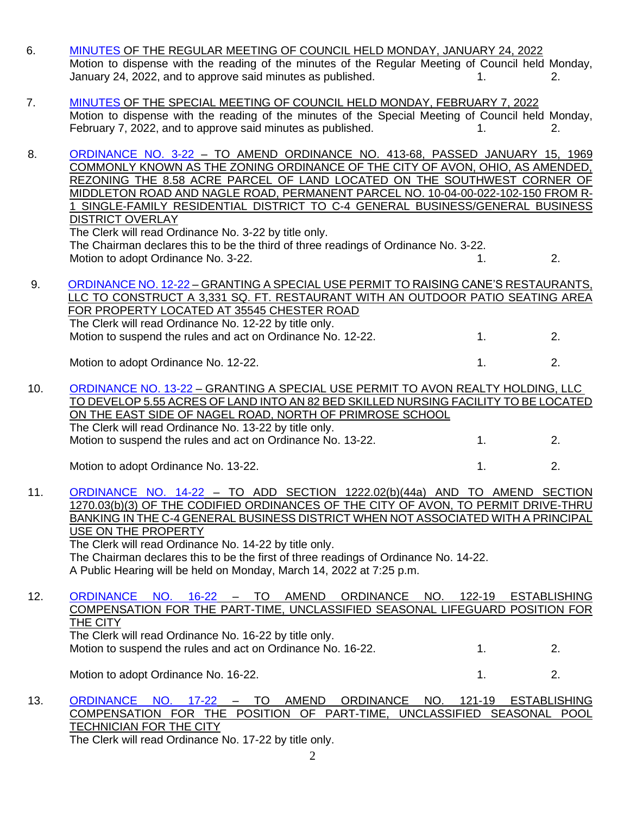| 6.  | MINUTES OF THE REGULAR MEETING OF COUNCIL HELD MONDAY, JANUARY 24, 2022<br>Motion to dispense with the reading of the minutes of the Regular Meeting of Council held Monday,<br>January 24, 2022, and to approve said minutes as published.                                                                                                                                                                                                                                                                                                                                                                                     | 1.           | 2.                        |
|-----|---------------------------------------------------------------------------------------------------------------------------------------------------------------------------------------------------------------------------------------------------------------------------------------------------------------------------------------------------------------------------------------------------------------------------------------------------------------------------------------------------------------------------------------------------------------------------------------------------------------------------------|--------------|---------------------------|
| 7.  | MINUTES OF THE SPECIAL MEETING OF COUNCIL HELD MONDAY, FEBRUARY 7, 2022<br>Motion to dispense with the reading of the minutes of the Special Meeting of Council held Monday,<br>February 7, 2022, and to approve said minutes as published.                                                                                                                                                                                                                                                                                                                                                                                     |              | 2.                        |
| 8.  | ORDINANCE NO. 3-22 - TO AMEND ORDINANCE NO. 413-68, PASSED JANUARY 15, 1969<br>COMMONLY KNOWN AS THE ZONING ORDINANCE OF THE CITY OF AVON, OHIO, AS AMENDED,<br>REZONING THE 8.58 ACRE PARCEL OF LAND LOCATED ON THE SOUTHWEST CORNER OF<br>MIDDLETON ROAD AND NAGLE ROAD, PERMANENT PARCEL NO. 10-04-00-022-102-150 FROM R-<br>1 SINGLE-FAMILY RESIDENTIAL DISTRICT TO C-4 GENERAL BUSINESS/GENERAL BUSINESS<br><b>DISTRICT OVERLAY</b><br>The Clerk will read Ordinance No. 3-22 by title only.<br>The Chairman declares this to be the third of three readings of Ordinance No. 3-22.<br>Motion to adopt Ordinance No. 3-22. | 1.           | 2.                        |
| 9.  | ORDINANCE NO. 12-22 - GRANTING A SPECIAL USE PERMIT TO RAISING CANE'S RESTAURANTS,<br>LLC TO CONSTRUCT A 3,331 SQ. FT. RESTAURANT WITH AN OUTDOOR PATIO SEATING AREA<br>FOR PROPERTY LOCATED AT 35545 CHESTER ROAD<br>The Clerk will read Ordinance No. 12-22 by title only.<br>Motion to suspend the rules and act on Ordinance No. 12-22.                                                                                                                                                                                                                                                                                     | 1.           | 2.                        |
|     | Motion to adopt Ordinance No. 12-22.                                                                                                                                                                                                                                                                                                                                                                                                                                                                                                                                                                                            | 1.           | 2.                        |
| 10. | ORDINANCE NO. 13-22 - GRANTING A SPECIAL USE PERMIT TO AVON REALTY HOLDING, LLC<br>TO DEVELOP 5.55 ACRES OF LAND INTO AN 82 BED SKILLED NURSING FACILITY TO BE LOCATED<br><u>ON THE EAST SIDE OF NAGEL ROAD, NORTH OF PRIMROSE SCHOOL</u><br>The Clerk will read Ordinance No. 13-22 by title only.                                                                                                                                                                                                                                                                                                                             |              |                           |
|     | Motion to suspend the rules and act on Ordinance No. 13-22.                                                                                                                                                                                                                                                                                                                                                                                                                                                                                                                                                                     | 1.           | 2.                        |
|     | Motion to adopt Ordinance No. 13-22.                                                                                                                                                                                                                                                                                                                                                                                                                                                                                                                                                                                            | 1.           | 2.                        |
| 11. | ORDINANCE NO. 14-22 - TO ADD SECTION 1222.02(b)(44a) AND TO AMEND SECTION<br>1270.03(b)(3) OF THE CODIFIED ORDINANCES OF THE CITY OF AVON, TO PERMIT DRIVE-THRU<br>BANKING IN THE C-4 GENERAL BUSINESS DISTRICT WHEN NOT ASSOCIATED WITH A PRINCIPAL<br>USE ON THE PROPERTY<br>The Clerk will read Ordinance No. 14-22 by title only.<br>The Chairman declares this to be the first of three readings of Ordinance No. 14-22.<br>A Public Hearing will be held on Monday, March 14, 2022 at 7:25 p.m.                                                                                                                           |              |                           |
| 12. | <b>ORDINANCE</b><br>$16-22 - 70$<br>AMEND<br>ORDINANCE NO.<br>NO.<br>COMPENSATION FOR THE PART-TIME, UNCLASSIFIED SEASONAL LIFEGUARD POSITION FOR<br>THE CITY<br>The Clerk will read Ordinance No. 16-22 by title only.<br>Motion to suspend the rules and act on Ordinance No. 16-22.                                                                                                                                                                                                                                                                                                                                          | 122-19<br>1. | <b>ESTABLISHING</b><br>2. |
|     |                                                                                                                                                                                                                                                                                                                                                                                                                                                                                                                                                                                                                                 |              |                           |
|     | Motion to adopt Ordinance No. 16-22.                                                                                                                                                                                                                                                                                                                                                                                                                                                                                                                                                                                            | 1.           | 2.                        |

COMPENSATION FOR THE POSITION OF PART-TIME, UNCLASSIFIED SEASONAL POOL TECHNICIAN FOR THE CITY The Clerk will read Ordinance No. 17-22 by title only.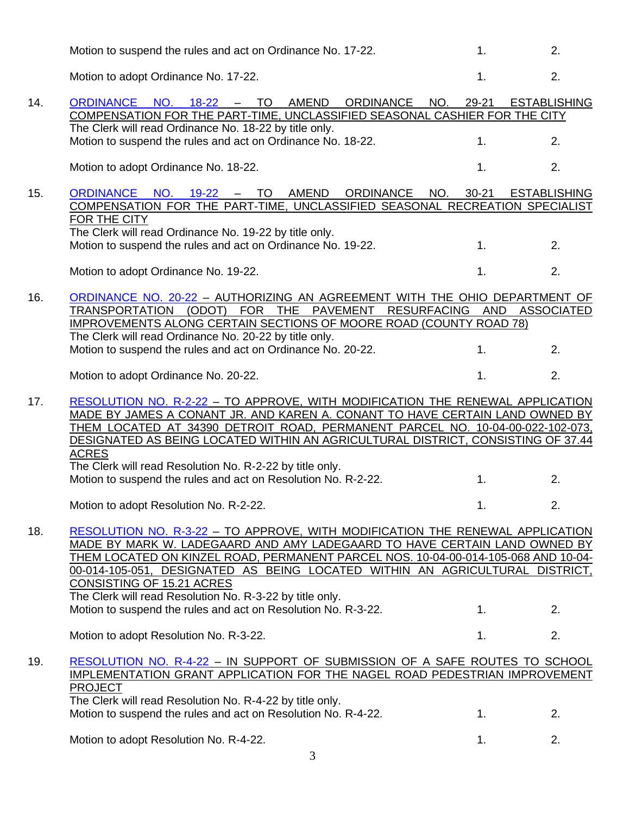|     | Motion to suspend the rules and act on Ordinance No. 17-22.                                                                                                                                                                                                                                                                                                                                                     | 1.               | 2.                  |
|-----|-----------------------------------------------------------------------------------------------------------------------------------------------------------------------------------------------------------------------------------------------------------------------------------------------------------------------------------------------------------------------------------------------------------------|------------------|---------------------|
|     | Motion to adopt Ordinance No. 17-22.                                                                                                                                                                                                                                                                                                                                                                            | 1.               | 2.                  |
| 14. | <b>ORDINANCE</b><br>AMEND<br>NO.<br>$18 - 22$<br>TO<br><b>ORDINANCE</b><br>NO.<br>$\overline{\phantom{m}}$<br>COMPENSATION FOR THE PART-TIME, UNCLASSIFIED SEASONAL CASHIER FOR THE CITY                                                                                                                                                                                                                        | 29-21            | <b>ESTABLISHING</b> |
|     | The Clerk will read Ordinance No. 18-22 by title only.<br>Motion to suspend the rules and act on Ordinance No. 18-22.                                                                                                                                                                                                                                                                                           | 1.               | 2.                  |
|     | Motion to adopt Ordinance No. 18-22.                                                                                                                                                                                                                                                                                                                                                                            | 1.               | 2.                  |
| 15. | NO. 19-22 – TO<br>AMEND<br><b>ORDINANCE</b><br><b>ORDINANCE</b><br>COMPENSATION FOR THE PART-TIME, UNCLASSIFIED SEASONAL RECREATION SPECIALIST<br>FOR THE CITY<br>The Clerk will read Ordinance No. 19-22 by title only.                                                                                                                                                                                        | NO.<br>$30 - 21$ | <b>ESTABLISHING</b> |
|     | Motion to suspend the rules and act on Ordinance No. 19-22.                                                                                                                                                                                                                                                                                                                                                     | 1.               | 2.                  |
|     | Motion to adopt Ordinance No. 19-22.                                                                                                                                                                                                                                                                                                                                                                            | 1.               | 2.                  |
| 16. | ORDINANCE NO. 20-22 - AUTHORIZING AN AGREEMENT WITH THE OHIO DEPARTMENT OF<br><b>FOR</b><br>THE<br><b>RESURFACING</b><br>TRANSPORTATION<br>(ODOT)<br><b>PAVEMENT</b><br><b>IMPROVEMENTS ALONG CERTAIN SECTIONS OF MOORE ROAD (COUNTY ROAD 78)</b><br>The Clerk will read Ordinance No. 20-22 by title only.                                                                                                     | <b>AND</b>       | <b>ASSOCIATED</b>   |
|     | Motion to suspend the rules and act on Ordinance No. 20-22.                                                                                                                                                                                                                                                                                                                                                     | 1.               | 2.                  |
|     | Motion to adopt Ordinance No. 20-22.                                                                                                                                                                                                                                                                                                                                                                            | 1.               | 2.                  |
| 17. | RESOLUTION NO. R-2-22 - TO APPROVE, WITH MODIFICATION THE RENEWAL APPLICATION<br>MADE BY JAMES A CONANT JR. AND KAREN A. CONANT TO HAVE CERTAIN LAND OWNED BY<br>THEM LOCATED AT 34390 DETROIT ROAD, PERMANENT PARCEL NO. 10-04-00-022-102-073,<br>DESIGNATED AS BEING LOCATED WITHIN AN AGRICULTURAL DISTRICT, CONSISTING OF 37.44<br><b>ACRES</b><br>The Clerk will read Resolution No. R-2-22 by title only. |                  |                     |
|     | Motion to suspend the rules and act on Resolution No. R-2-22.                                                                                                                                                                                                                                                                                                                                                   | 1.               | 2.                  |
|     | Motion to adopt Resolution No. R-2-22.                                                                                                                                                                                                                                                                                                                                                                          | 1.               | 2.                  |
| 18. | RESOLUTION NO. R-3-22 - TO APPROVE, WITH MODIFICATION THE RENEWAL APPLICATION<br>MADE BY MARK W. LADEGAARD AND AMY LADEGAARD TO HAVE CERTAIN LAND OWNED BY<br>THEM LOCATED ON KINZEL ROAD, PERMANENT PARCEL NOS. 10-04-00-014-105-068 AND 10-04-<br>00-014-105-051, DESIGNATED AS BEING LOCATED WITHIN AN AGRICULTURAL DISTRICT,<br>CONSISTING OF 15.21 ACRES                                                   |                  |                     |
|     | The Clerk will read Resolution No. R-3-22 by title only.<br>Motion to suspend the rules and act on Resolution No. R-3-22.                                                                                                                                                                                                                                                                                       | 1.               | 2.                  |
|     | Motion to adopt Resolution No. R-3-22.                                                                                                                                                                                                                                                                                                                                                                          | 1.               | 2.                  |
| 19. | <u>RESOLUTION NO. R-4-22 - IN SUPPORT OF SUBMISSION OF A SAFE ROUTES TO SCHOOL</u><br>IMPLEMENTATION GRANT APPLICATION FOR THE NAGEL ROAD PEDESTRIAN IMPROVEMENT<br><b>PROJECT</b>                                                                                                                                                                                                                              |                  |                     |
|     | The Clerk will read Resolution No. R-4-22 by title only.<br>Motion to suspend the rules and act on Resolution No. R-4-22.                                                                                                                                                                                                                                                                                       | 1.               | 2.                  |
|     | Motion to adopt Resolution No. R-4-22.                                                                                                                                                                                                                                                                                                                                                                          | 1.               | 2.                  |